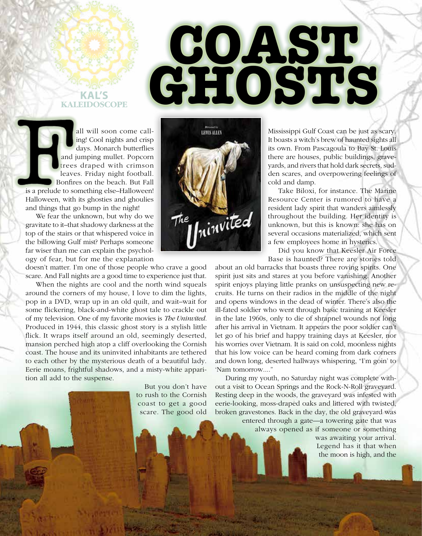

## all will soon come calling! Cool nights and crisp days. Monarch butterflies and jumping mullet. Popcorn trees draped with crimson leaves. Friday night football. Bonfires on the beach. But Fall is a prelude to something else–Halloween! Halloween, with its ghosties and ghoulies and things that go bump in the night!

We fear the unknown, but why do we gravitate to it–that shadowy darkness at the top of the stairs or that whispered voice in the billowing Gulf mist? Perhaps someone far wiser than me can explain the psychology of fear, but for me the explanation

doesn't matter. I'm one of those people who crave a good scare. And Fall nights are a good time to experience just that.

When the nights are cool and the north wind squeals around the corners of my house, I love to dim the lights, pop in a DVD, wrap up in an old quilt, and wait–wait for some flickering, black-and-white ghost tale to crackle out of my television. One of my favorite movies is *The Uninvited.* Produced in 1944, this classic ghost story is a stylish little flick. It wraps itself around an old, seemingly deserted, mansion perched high atop a cliff overlooking the Cornish coast. The house and its uninvited inhabitants are tethered to each other by the mysterious death of a beautiful lady. Eerie moans, frightful shadows, and a misty-white apparition all add to the suspense.

> But you don't have to rush to the Cornish coast to get a good scare. The good old

1 • Summer 2015 See South Mississippi See South Mississippi See South See South Mississippi See South Mississi



**COAST** 

**GHOSTS**

Mississippi Gulf Coast can be just as scary. It boasts a witch's brew of haunted sights all its own. From Pascagoula to Bay St. Louis there are houses, public buildings, graveyards, and rivers that hold dark secrets, sudden scares, and overpowering feelings of cold and damp.

Take Biloxi, for instance. The Marine Resource Center is rumored to have a resident lady spirit that wanders aimlessly throughout the building. Her identity is unknown, but this is known: she has on several occasions materialized, which sent a few employees home in hysterics.

Did you know that Keesler Air Force Base is haunted? There are stories told

about an old barracks that boasts three roving spirits. One spirit just sits and stares at you before vanishing. Another spirit enjoys playing little pranks on unsuspecting new recruits. He turns on their radios in the middle of the night and opens windows in the dead of winter. There's also the ill-fated soldier who went through basic training at Keesler in the late 1960s, only to die of shrapnel wounds not long after his arrival in Vietnam. It appears the poor soldier can't let go of his brief and happy training days at Keesler, nor his worries over Vietnam. It is said on cold, moonless nights that his low voice can be heard coming from dark corners and down long, deserted hallways whispering, "I'm goin' to 'Nam tomorrow...."

During my youth, no Saturday night was complete without a visit to Ocean Springs and the Rock-N-Roll graveyard. Resting deep in the woods, the graveyard was infested with eerie-looking, moss-draped oaks and littered with twisted, broken gravestones. Back in the day, the old graveyard was

> entered through a gate—a towering gate that was always opened as if someone or something

> > was awaiting your arrival. Legend has it that when the moon is high, and the